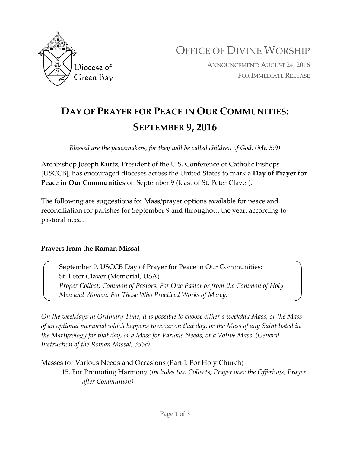

OFFICE OF DIVINE WORSHIP

ANNOUNCEMENT: AUGUST 24, 2016 FOR IMMEDIATE RELEASE

## **DAY OF PRAYER FOR PEACE IN OUR COMMUNITIES: SEPTEMBER 9, 2016**

*Blessed are the peacemakers, for they will be called children of God. (Mt. 5:9)*

Archbishop Joseph Kurtz, President of the U.S. Conference of Catholic Bishops [USCCB], has encouraged dioceses across the United States to mark a **Day of Prayer for Peace in Our Communities** on September 9 (feast of St. Peter Claver).

The following are suggestions for Mass/prayer options available for peace and reconciliation for parishes for September 9 and throughout the year, according to pastoral need.

## **Prayers from the Roman Missal**

September 9, USCCB Day of Prayer for Peace in Our Communities: St. Peter Claver (Memorial, USA) *Proper Collect; Common of Pastors: For One Pastor or from the Common of Holy Men and Women: For Those Who Practiced Works of Mercy.* 

*On the weekdays in Ordinary Time, it is possible to choose either a weekday Mass, or the Mass of an optional memorial which happens to occur on that day, or the Mass of any Saint listed in the Martyrology for that day, or a Mass for Various Needs, or a Votive Mass. (General Instruction of the Roman Missal, 355c)*

Masses for Various Needs and Occasions (Part I: For Holy Church)

15. For Promoting Harmony *(includes two Collects, Prayer over the Offerings, Prayer after Communion)*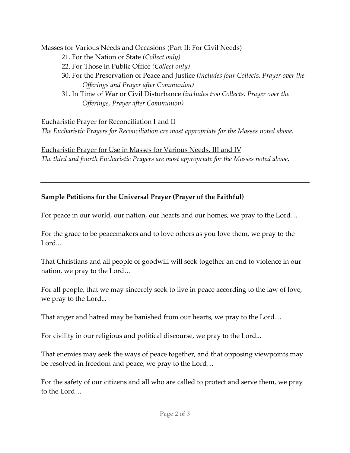Masses for Various Needs and Occasions (Part II: For Civil Needs)

- 21. For the Nation or State *(Collect only)*
- 22. For Those in Public Office *(Collect only)*
- 30. For the Preservation of Peace and Justice *(includes four Collects, Prayer over the Offerings and Prayer after Communion)*
- 31. In Time of War or Civil Disturbance *(includes two Collects, Prayer over the Offerings, Prayer after Communion)*

Eucharistic Prayer for Reconciliation I and II

*The Eucharistic Prayers for Reconciliation are most appropriate for the Masses noted above.* 

Eucharistic Prayer for Use in Masses for Various Needs, III and IV *The third and fourth Eucharistic Prayers are most appropriate for the Masses noted above.*

## **Sample Petitions for the Universal Prayer (Prayer of the Faithful)**

For peace in our world, our nation, our hearts and our homes, we pray to the Lord…

For the grace to be peacemakers and to love others as you love them, we pray to the Lord...

That Christians and all people of goodwill will seek together an end to violence in our nation, we pray to the Lord…

For all people, that we may sincerely seek to live in peace according to the law of love, we pray to the Lord...

That anger and hatred may be banished from our hearts, we pray to the Lord…

For civility in our religious and political discourse, we pray to the Lord...

That enemies may seek the ways of peace together, and that opposing viewpoints may be resolved in freedom and peace, we pray to the Lord…

For the safety of our citizens and all who are called to protect and serve them, we pray to the Lord…